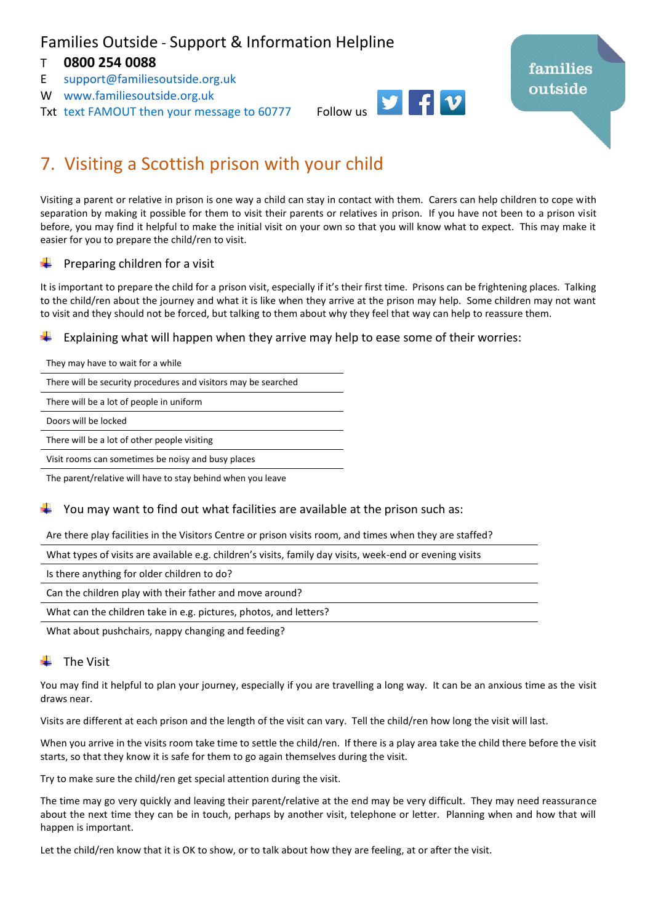## Families Outside - Support & Information Helpline

### T **0800 254 0088**

- E [support@familiesoutside.org.uk](mailto:support@familiesoutside.org.uk)
- W [www.familiesoutside.org.uk](http://www.familiesoutside.org.uk/)
- Txt text FAMOUT then your message to 60777 Follow us



# families outside

# 7. Visiting a Scottish prison with your child

Visiting a parent or relative in prison is one way a child can stay in contact with them. Carers can help children to cope with separation by making it possible for them to visit their parents or relatives in prison. If you have not been to a prison visit before, you may find it helpful to make the initial visit on your own so that you will know what to expect. This may make it easier for you to prepare the child/ren to visit.

#### Preparing children for a visit

It is important to prepare the child for a prison visit, especially if it's their first time. Prisons can be frightening places. Talking to the child/ren about the journey and what it is like when they arrive at the prison may help. Some children may not want to visit and they should not be forced, but talking to them about why they feel that way can help to reassure them.

Explaining what will happen when they arrive may help to ease some of their worries:

| They may have to wait for a while                              |
|----------------------------------------------------------------|
| There will be security procedures and visitors may be searched |

There will be a lot of people in uniform

Doors will be locked

There will be a lot of other people visiting

Visit rooms can sometimes be noisy and busy places

The parent/relative will have to stay behind when you leave

#### You may want to find out what facilities are available at the prison such as:

Are there play facilities in the Visitors Centre or prison visits room, and times when they are staffed?

What types of visits are available e.g. children's visits, family day visits, week-end or evening visits

Is there anything for older children to do?

Can the children play with their father and move around?

What can the children take in e.g. pictures, photos, and letters?

What about pushchairs, nappy changing and feeding?

#### The Visit

You may find it helpful to plan your journey, especially if you are travelling a long way. It can be an anxious time as the visit draws near.

Visits are different at each prison and the length of the visit can vary. Tell the child/ren how long the visit will last.

When you arrive in the visits room take time to settle the child/ren. If there is a play area take the child there before the visit starts, so that they know it is safe for them to go again themselves during the visit.

Try to make sure the child/ren get special attention during the visit.

The time may go very quickly and leaving their parent/relative at the end may be very difficult. They may need reassurance about the next time they can be in touch, perhaps by another visit, telephone or letter. Planning when and how that will happen is important.

Let the child/ren know that it is OK to show, or to talk about how they are feeling, at or after the visit.